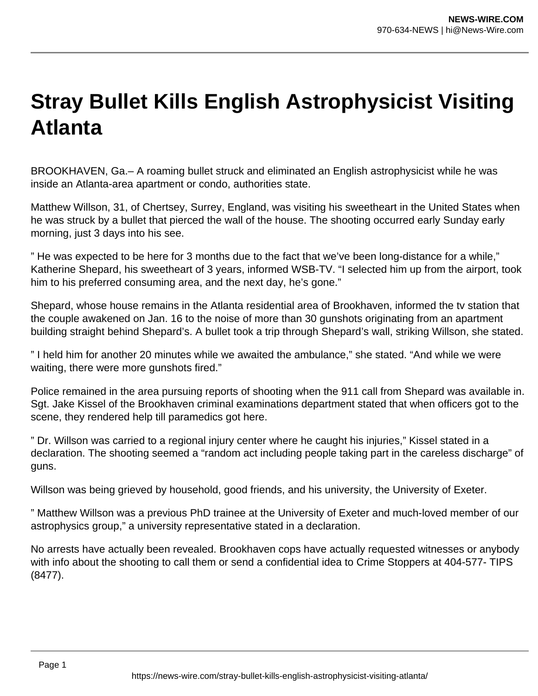## **Stray Bullet Kills English Astrophysicist Visiting Atlanta**

BROOKHAVEN, Ga.– A roaming bullet struck and eliminated an English astrophysicist while he was inside an Atlanta-area apartment or condo, authorities state.

Matthew Willson, 31, of Chertsey, Surrey, England, was visiting his sweetheart in the United States when he was struck by a bullet that pierced the wall of the house. The shooting occurred early Sunday early morning, just 3 days into his see.

" He was expected to be here for 3 months due to the fact that we've been long-distance for a while," Katherine Shepard, his sweetheart of 3 years, informed WSB-TV. "I selected him up from the airport, took him to his preferred consuming area, and the next day, he's gone."

Shepard, whose house remains in the Atlanta residential area of Brookhaven, informed the tv station that the couple awakened on Jan. 16 to the noise of more than 30 gunshots originating from an apartment building straight behind Shepard's. A bullet took a trip through Shepard's wall, striking Willson, she stated.

" I held him for another 20 minutes while we awaited the ambulance," she stated. "And while we were waiting, there were more gunshots fired."

Police remained in the area pursuing reports of shooting when the 911 call from Shepard was available in. Sgt. Jake Kissel of the Brookhaven criminal examinations department stated that when officers got to the scene, they rendered help till paramedics got here.

" Dr. Willson was carried to a regional injury center where he caught his injuries," Kissel stated in a declaration. The shooting seemed a "random act including people taking part in the careless discharge" of guns.

Willson was being grieved by household, good friends, and his university, the University of Exeter.

" Matthew Willson was a previous PhD trainee at the University of Exeter and much-loved member of our astrophysics group," a university representative stated in a declaration.

No arrests have actually been revealed. Brookhaven cops have actually requested witnesses or anybody with info about the shooting to call them or send a confidential idea to Crime Stoppers at 404-577- TIPS (8477).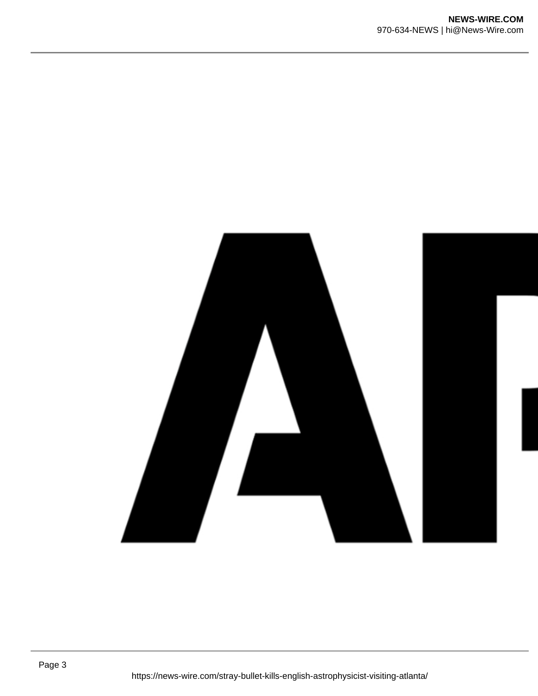